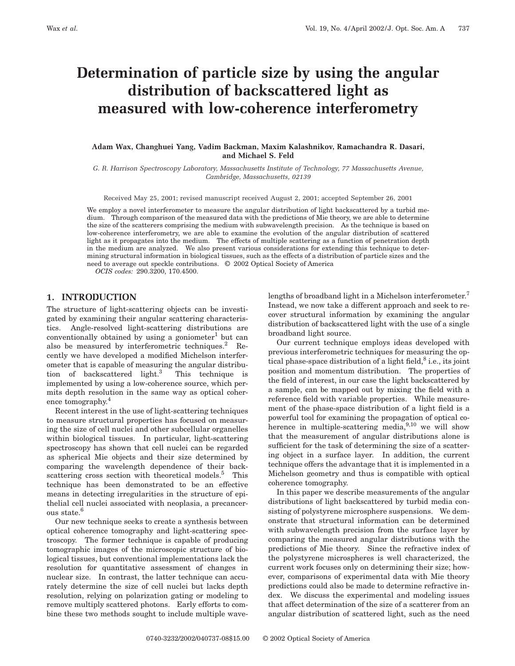# **Determination of particle size by using the angular distribution of backscattered light as measured with low-coherence interferometry**

## **Adam Wax, Changhuei Yang, Vadim Backman, Maxim Kalashnikov, Ramachandra R. Dasari, and Michael S. Feld**

*G. R. Harrison Spectroscopy Laboratory, Massachusetts Institute of Technology, 77 Massachusetts Avenue, Cambridge, Massachusetts, 02139*

Received May 25, 2001; revised manuscript received August 2, 2001; accepted September 26, 2001

We employ a novel interferometer to measure the angular distribution of light backscattered by a turbid medium. Through comparison of the measured data with the predictions of Mie theory, we are able to determine the size of the scatterers comprising the medium with subwavelength precision. As the technique is based on low-coherence interferometry, we are able to examine the evolution of the angular distribution of scattered light as it propagates into the medium. The effects of multiple scattering as a function of penetration depth in the medium are analyzed. We also present various considerations for extending this technique to determining structural information in biological tissues, such as the effects of a distribution of particle sizes and the need to average out speckle contributions. © 2002 Optical Society of America

*OCIS codes:* 290.3200, 170.4500.

## **1. INTRODUCTION**

The structure of light-scattering objects can be investigated by examining their angular scattering characteristics. Angle-resolved light-scattering distributions are conventionally obtained by using a goniometer<sup>1</sup> but can also be measured by interferometric techniques.<sup>2</sup> Recently we have developed a modified Michelson interferometer that is capable of measuring the angular distribution of backscattered light.3 This technique is implemented by using a low-coherence source, which permits depth resolution in the same way as optical coherence tomography.4

Recent interest in the use of light-scattering techniques to measure structural properties has focused on measuring the size of cell nuclei and other subcellular organelles within biological tissues. In particular, light-scattering spectroscopy has shown that cell nuclei can be regarded as spherical Mie objects and their size determined by comparing the wavelength dependence of their backscattering cross section with theoretical models.<sup>5</sup> This technique has been demonstrated to be an effective means in detecting irregularities in the structure of epithelial cell nuclei associated with neoplasia, a precancerous state.<sup>6</sup>

Our new technique seeks to create a synthesis between optical coherence tomography and light-scattering spectroscopy. The former technique is capable of producing tomographic images of the microscopic structure of biological tissues, but conventional implementations lack the resolution for quantitative assessment of changes in nuclear size. In contrast, the latter technique can accurately determine the size of cell nuclei but lacks depth resolution, relying on polarization gating or modeling to remove multiply scattered photons. Early efforts to combine these two methods sought to include multiple wavelengths of broadband light in a Michelson interferometer.<sup>7</sup> Instead, we now take a different approach and seek to recover structural information by examining the angular distribution of backscattered light with the use of a single broadband light source.

Our current technique employs ideas developed with previous interferometric techniques for measuring the optical phase-space distribution of a light field,  $\delta$  i.e., its joint position and momentum distribution. The properties of the field of interest, in our case the light backscattered by a sample, can be mapped out by mixing the field with a reference field with variable properties. While measurement of the phase-space distribution of a light field is a powerful tool for examining the propagation of optical coherence in multiple-scattering media, $9,10$  we will show that the measurement of angular distributions alone is sufficient for the task of determining the size of a scattering object in a surface layer. In addition, the current technique offers the advantage that it is implemented in a Michelson geometry and thus is compatible with optical coherence tomography.

In this paper we describe measurements of the angular distributions of light backscattered by turbid media consisting of polystyrene microsphere suspensions. We demonstrate that structural information can be determined with subwavelength precision from the surface layer by comparing the measured angular distributions with the predictions of Mie theory. Since the refractive index of the polystyrene microspheres is well characterized, the current work focuses only on determining their size; however, comparisons of experimental data with Mie theory predictions could also be made to determine refractive index. We discuss the experimental and modeling issues that affect determination of the size of a scatterer from an angular distribution of scattered light, such as the need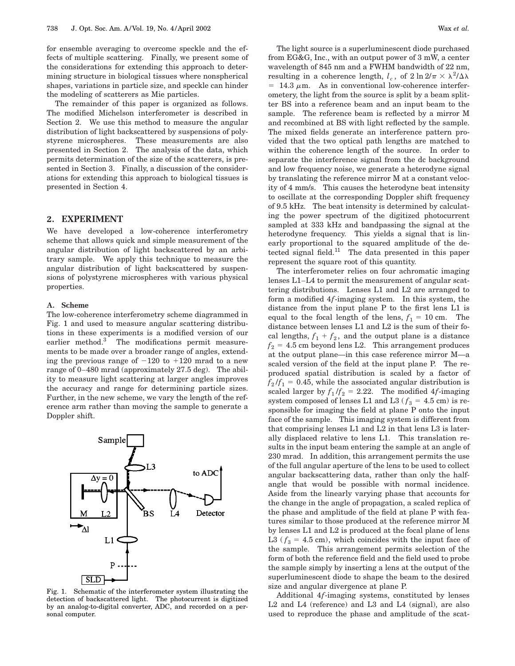for ensemble averaging to overcome speckle and the effects of multiple scattering. Finally, we present some of the considerations for extending this approach to determining structure in biological tissues where nonspherical shapes, variations in particle size, and speckle can hinder the modeling of scatterers as Mie particles.

The remainder of this paper is organized as follows. The modified Michelson interferometer is described in Section 2. We use this method to measure the angular distribution of light backscattered by suspensions of polystyrene microspheres. These measurements are also presented in Section 2. The analysis of the data, which permits determination of the size of the scatterers, is presented in Section 3. Finally, a discussion of the considerations for extending this approach to biological tissues is presented in Section 4.

#### **2. EXPERIMENT**

We have developed a low-coherence interferometry scheme that allows quick and simple measurement of the angular distribution of light backscattered by an arbitrary sample. We apply this technique to measure the angular distribution of light backscattered by suspensions of polystyrene microspheres with various physical properties.

#### **A. Scheme**

The low-coherence interferometry scheme diagrammed in Fig. 1 and used to measure angular scattering distributions in these experiments is a modified version of our earlier method.<sup>3</sup> The modifications permit measurements to be made over a broader range of angles, extending the previous range of  $-120$  to  $+120$  mrad to a new range of 0–480 mrad (approximately 27.5 deg). The ability to measure light scattering at larger angles improves the accuracy and range for determining particle sizes. Further, in the new scheme, we vary the length of the reference arm rather than moving the sample to generate a Doppler shift.



Fig. 1. Schematic of the interferometer system illustrating the detection of backscattered light. The photocurrent is digitized by an analog-to-digital converter, ADC, and recorded on a personal computer.

The light source is a superluminescent diode purchased from EG&G, Inc., with an output power of 3 mW, a center wavelength of 845 nm and a FWHM bandwidth of 22 nm, resulting in a coherence length,  $l_c$ , of  $2 \ln 2/\pi \times \lambda^2/\Delta\lambda$  $= 14.3 \mu m$ . As in conventional low-coherence interferometery, the light from the source is split by a beam splitter BS into a reference beam and an input beam to the sample. The reference beam is reflected by a mirror M and recombined at BS with light reflected by the sample. The mixed fields generate an interference pattern provided that the two optical path lengths are matched to within the coherence length of the source. In order to separate the interference signal from the dc background and low frequency noise, we generate a heterodyne signal by translating the reference mirror M at a constant velocity of 4 mm/s. This causes the heterodyne beat intensity to oscillate at the corresponding Doppler shift frequency of 9.5 kHz. The beat intensity is determined by calculating the power spectrum of the digitized photocurrent sampled at 333 kHz and bandpassing the signal at the heterodyne frequency. This yields a signal that is linearly proportional to the squared amplitude of the detected signal field. $11$  The data presented in this paper represent the square root of this quantity.

The interferometer relies on four achromatic imaging lenses L1–L4 to permit the measurement of angular scattering distributions. Lenses L1 and L2 are arranged to form a modified 4*f*-imaging system. In this system, the distance from the input plane P to the first lens L1 is equal to the focal length of the lens,  $f_1 = 10$  cm. The distance between lenses L1 and L2 is the sum of their focal lengths,  $f_1 + f_2$ , and the output plane is a distance  $f_2 = 4.5$  cm beyond lens L2. This arrangement produces at the output plane—in this case reference mirror M—a scaled version of the field at the input plane P. The reproduced spatial distribution is scaled by a factor of  $f_2 / f_1 = 0.45$ , while the associated angular distribution is scaled larger by  $f_1 / f_2 = 2.22$ . The modified 4*f*-imaging system composed of lenses L1 and L3 ( $f_3 = 4.5$  cm) is responsible for imaging the field at plane P onto the input face of the sample. This imaging system is different from that comprising lenses L1 and L2 in that lens L3 is laterally displaced relative to lens L1. This translation results in the input beam entering the sample at an angle of 230 mrad. In addition, this arrangement permits the use of the full angular aperture of the lens to be used to collect angular backscattering data, rather than only the halfangle that would be possible with normal incidence. Aside from the linearly varying phase that accounts for the change in the angle of propagation, a scaled replica of the phase and amplitude of the field at plane P with features similar to those produced at the reference mirror M by lenses L1 and L2 is produced at the focal plane of lens L3 ( $f_3 = 4.5$  cm), which coincides with the input face of the sample. This arrangement permits selection of the form of both the reference field and the field used to probe the sample simply by inserting a lens at the output of the superluminescent diode to shape the beam to the desired size and angular divergence at plane P.

Additional 4*f*-imaging systems, constituted by lenses L2 and L4 (reference) and L3 and L4 (signal), are also used to reproduce the phase and amplitude of the scat-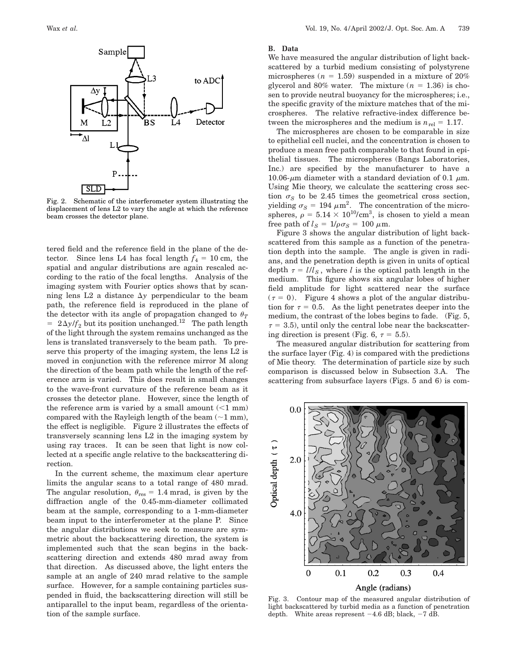

Fig. 2. Schematic of the interferometer system illustrating the displacement of lens L2 to vary the angle at which the reference beam crosses the detector plane.

tered field and the reference field in the plane of the detector. Since lens L4 has focal length  $f_4 = 10$  cm, the spatial and angular distributions are again rescaled according to the ratio of the focal lengths. Analysis of the imaging system with Fourier optics shows that by scanning lens  $L2$  a distance  $\Delta y$  perpendicular to the beam path, the reference field is reproduced in the plane of the detector with its angle of propagation changed to  $\theta_T$  $= 2\Delta y/f_2$  but its position unchanged.<sup>12</sup> The path length of the light through the system remains unchanged as the lens is translated transversely to the beam path. To preserve this property of the imaging system, the lens L2 is moved in conjunction with the reference mirror M along the direction of the beam path while the length of the reference arm is varied. This does result in small changes to the wave-front curvature of the reference beam as it crosses the detector plane. However, since the length of the reference arm is varied by a small amount  $\left($  < 1 mm) compared with the Rayleigh length of the beam  $(\sim 1 \text{ mm})$ , the effect is negligible. Figure 2 illustrates the effects of transversely scanning lens L2 in the imaging system by using ray traces. It can be seen that light is now collected at a specific angle relative to the backscattering direction.

In the current scheme, the maximum clear aperture limits the angular scans to a total range of 480 mrad. The angular resolution,  $\theta_{\text{res}} = 1.4$  mrad, is given by the diffraction angle of the 0.45-mm-diameter collimated beam at the sample, corresponding to a 1-mm-diameter beam input to the interferometer at the plane P. Since the angular distributions we seek to measure are symmetric about the backscattering direction, the system is implemented such that the scan begins in the backscattering direction and extends 480 mrad away from that direction. As discussed above, the light enters the sample at an angle of 240 mrad relative to the sample surface. However, for a sample containing particles suspended in fluid, the backscattering direction will still be antiparallel to the input beam, regardless of the orientation of the sample surface.

#### **B. Data**

We have measured the angular distribution of light backscattered by a turbid medium consisting of polystyrene microspheres ( $n = 1.59$ ) suspended in a mixture of 20% glycerol and 80% water. The mixture  $(n = 1.36)$  is chosen to provide neutral buoyancy for the microspheres; i.e., the specific gravity of the mixture matches that of the microspheres. The relative refractive-index difference between the microspheres and the medium is  $n_{rel} = 1.17$ .

The microspheres are chosen to be comparable in size to epithelial cell nuclei, and the concentration is chosen to produce a mean free path comparable to that found in epithelial tissues. The microspheres (Bangs Laboratories, Inc.) are specified by the manufacturer to have a 10.06- $\mu$ m diameter with a standard deviation of 0.1  $\mu$ m. Using Mie theory, we calculate the scattering cross section  $\sigma_S$  to be 2.45 times the geometrical cross section, yielding  $\sigma_S = 194 \ \mu \text{m}^2$ . The concentration of the microspheres,  $\rho = 5.14 \times 10^{10} \text{/cm}^3$ , is chosen to yield a mean free path of  $l_S = 1/\rho \sigma_S = 100 \mu \text{m}$ .

Figure 3 shows the angular distribution of light backscattered from this sample as a function of the penetration depth into the sample. The angle is given in radians, and the penetration depth is given in units of optical depth  $\tau = l/l_s$ , where *l* is the optical path length in the medium. This figure shows six angular lobes of higher field amplitude for light scattered near the surface  $(\tau = 0)$ . Figure 4 shows a plot of the angular distribution for  $\tau = 0.5$ . As the light penetrates deeper into the medium, the contrast of the lobes begins to fade. (Fig. 5,  $\tau$  = 3.5), until only the central lobe near the backscattering direction is present (Fig. 6,  $\tau = 5.5$ ).

The measured angular distribution for scattering from the surface layer (Fig. 4) is compared with the predictions of Mie theory. The determination of particle size by such comparison is discussed below in Subsection 3.A. The scattering from subsurface layers (Figs. 5 and 6) is com-



Fig. 3. Contour map of the measured angular distribution of light backscattered by turbid media as a function of penetration depth. White areas represent  $-4.6$  dB; black,  $-7$  dB.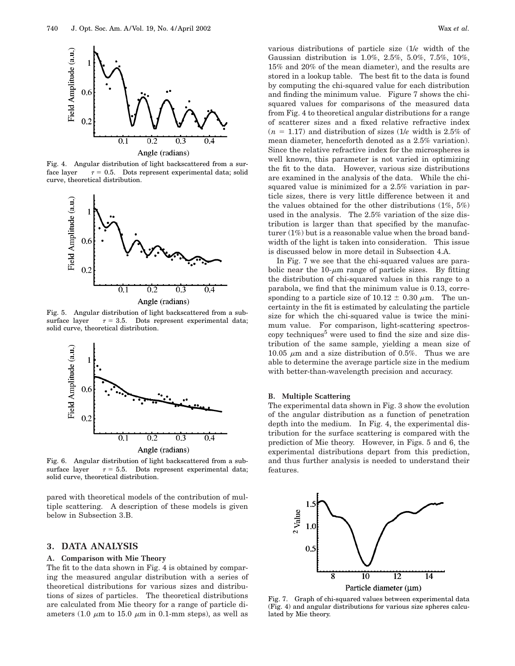

Fig. 4. Angular distribution of light backscattered from a surface layer  $\tau = 0.5$ . Dots represent experimental data; solid curve, theoretical distribution.



Fig. 5. Angular distribution of light backscattered from a subsurface layer  $\tau = 3.5$ . Dots represent experimental data; solid curve, theoretical distribution.



Fig. 6. Angular distribution of light backscattered from a subsurface layer  $\tau = 5.5$ . Dots represent experimental data; solid curve, theoretical distribution.

pared with theoretical models of the contribution of multiple scattering. A description of these models is given below in Subsection 3.B.

## **3. DATA ANALYSIS**

# **A. Comparison with Mie Theory**

The fit to the data shown in Fig. 4 is obtained by comparing the measured angular distribution with a series of theoretical distributions for various sizes and distributions of sizes of particles. The theoretical distributions are calculated from Mie theory for a range of particle diameters (1.0  $\mu$ m to 15.0  $\mu$ m in 0.1-mm steps), as well as

various distributions of particle size (1/*e* width of the Gaussian distribution is 1.0%, 2.5%, 5.0%, 7.5%, 10%, 15% and 20% of the mean diameter), and the results are stored in a lookup table. The best fit to the data is found by computing the chi-squared value for each distribution and finding the minimum value. Figure 7 shows the chisquared values for comparisons of the measured data from Fig. 4 to theoretical angular distributions for a range of scatterer sizes and a fixed relative refractive index  $(n = 1.17)$  and distribution of sizes (1/*e* width is 2.5% of mean diameter, henceforth denoted as a 2.5% variation). Since the relative refractive index for the microspheres is well known, this parameter is not varied in optimizing the fit to the data. However, various size distributions are examined in the analysis of the data. While the chisquared value is minimized for a 2.5% variation in particle sizes, there is very little difference between it and the values obtained for the other distributions (1%, 5%) used in the analysis. The 2.5% variation of the size distribution is larger than that specified by the manufacturer (1%) but is a reasonable value when the broad bandwidth of the light is taken into consideration. This issue is discussed below in more detail in Subsection 4.A.

In Fig. 7 we see that the chi-squared values are parabolic near the  $10$ - $\mu$ m range of particle sizes. By fitting the distribution of chi-squared values in this range to a parabola, we find that the minimum value is 0.13, corresponding to a particle size of 10.12  $\pm$  0.30  $\mu$ m. The uncertainty in the fit is estimated by calculating the particle size for which the chi-squared value is twice the minimum value. For comparison, light-scattering spectroscopy techniques $\delta$  were used to find the size and size distribution of the same sample, yielding a mean size of 10.05  $\mu$ m and a size distribution of 0.5%. Thus we are able to determine the average particle size in the medium with better-than-wavelength precision and accuracy.

## **B. Multiple Scattering**

The experimental data shown in Fig. 3 show the evolution of the angular distribution as a function of penetration depth into the medium. In Fig. 4, the experimental distribution for the surface scattering is compared with the prediction of Mie theory. However, in Figs. 5 and 6, the experimental distributions depart from this prediction, and thus further analysis is needed to understand their features.



Fig. 7. Graph of chi-squared values between experimental data (Fig. 4) and angular distributions for various size spheres calculated by Mie theory.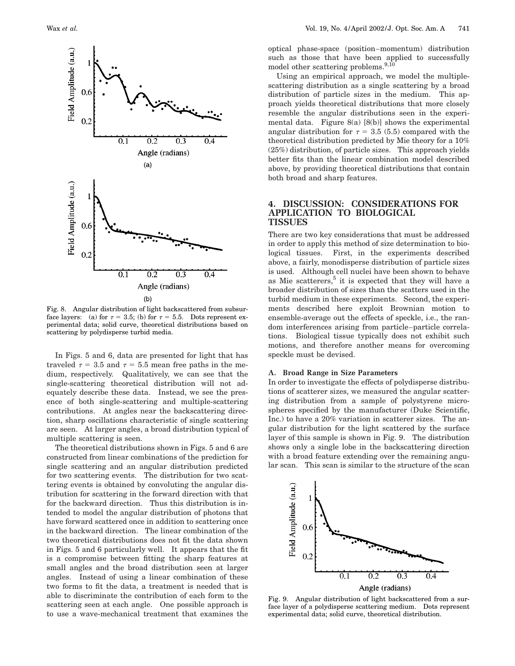

Fig. 8. Angular distribution of light backscattered from subsurface layers: (a) for  $\tau = 3.5$ ; (b) for  $\tau = 5.5$ . Dots represent experimental data; solid curve, theoretical distributions based on scattering by polydisperse turbid media.

In Figs. 5 and 6, data are presented for light that has traveled  $\tau = 3.5$  and  $\tau = 5.5$  mean free paths in the medium, respectively. Qualitatively, we can see that the single-scattering theoretical distribution will not adequately describe these data. Instead, we see the presence of both single-scattering and multiple-scattering contributions. At angles near the backscattering direction, sharp oscillations characteristic of single scattering are seen. At larger angles, a broad distribution typical of multiple scattering is seen.

The theoretical distributions shown in Figs. 5 and 6 are constructed from linear combinations of the prediction for single scattering and an angular distribution predicted for two scattering events. The distribution for two scattering events is obtained by convoluting the angular distribution for scattering in the forward direction with that for the backward direction. Thus this distribution is intended to model the angular distribution of photons that have forward scattered once in addition to scattering once in the backward direction. The linear combination of the two theoretical distributions does not fit the data shown in Figs. 5 and 6 particularly well. It appears that the fit is a compromise between fitting the sharp features at small angles and the broad distribution seen at larger angles. Instead of using a linear combination of these two forms to fit the data, a treatment is needed that is able to discriminate the contribution of each form to the scattering seen at each angle. One possible approach is to use a wave-mechanical treatment that examines the

optical phase-space (position–momentum) distribution such as those that have been applied to successfully model other scattering problems. $9,10$ 

Using an empirical approach, we model the multiplescattering distribution as a single scattering by a broad distribution of particle sizes in the medium. This approach yields theoretical distributions that more closely resemble the angular distributions seen in the experimental data. Figure  $8(a)$   $[8(b)]$  shows the experimental angular distribution for  $\tau = 3.5$  (5.5) compared with the theoretical distribution predicted by Mie theory for a 10% (25%) distribution, of particle sizes. This approach yields better fits than the linear combination model described above, by providing theoretical distributions that contain both broad and sharp features.

### **4. DISCUSSION: CONSIDERATIONS FOR APPLICATION TO BIOLOGICAL TISSUES**

There are two key considerations that must be addressed in order to apply this method of size determination to biological tissues. First, in the experiments described above, a fairly, monodisperse distribution of particle sizes is used. Although cell nuclei have been shown to behave as Mie scatterers, $5$  it is expected that they will have a broader distribution of sizes than the scatters used in the turbid medium in these experiments. Second, the experiments described here exploit Brownian motion to ensemble-average out the effects of speckle, i.e., the random interferences arising from particle–particle correlations. Biological tissue typically does not exhibit such motions, and therefore another means for overcoming speckle must be devised.

#### **A. Broad Range in Size Parameters**

In order to investigate the effects of polydisperse distributions of scatterer sizes, we measured the angular scattering distribution from a sample of polystyrene microspheres specified by the manufacturer (Duke Scientific, Inc.) to have a 20% variation in scatterer sizes. The angular distribution for the light scattered by the surface layer of this sample is shown in Fig. 9. The distribution shows only a single lobe in the backscattering direction with a broad feature extending over the remaining angular scan. This scan is similar to the structure of the scan



Fig. 9. Angular distribution of light backscattered from a surface layer of a polydisperse scattering medium. Dots represent experimental data; solid curve, theoretical distribution.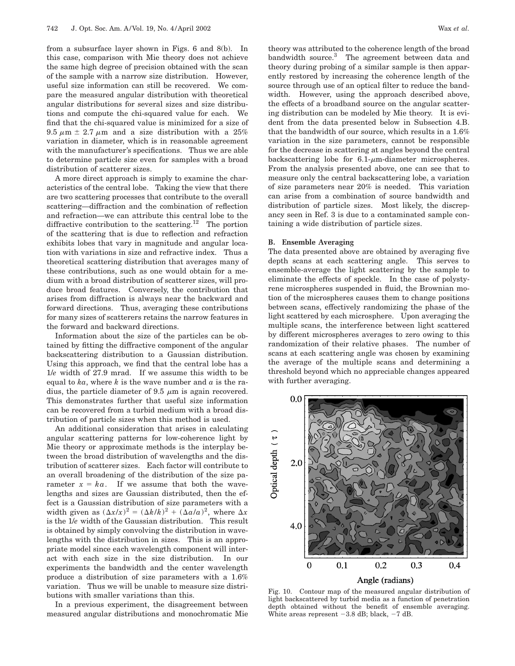from a subsurface layer shown in Figs. 6 and 8(b). In this case, comparison with Mie theory does not achieve the same high degree of precision obtained with the scan of the sample with a narrow size distribution. However, useful size information can still be recovered. We compare the measured angular distribution with theoretical angular distributions for several sizes and size distributions and compute the chi-squared value for each. We find that the chi-squared value is minimized for a size of 9.5  $\mu$ m  $\pm$  2.7  $\mu$ m and a size distribution with a 25% variation in diameter, which is in reasonable agreement with the manufacturer's specifications. Thus we are able to determine particle size even for samples with a broad distribution of scatterer sizes.

A more direct approach is simply to examine the characteristics of the central lobe. Taking the view that there are two scattering processes that contribute to the overall scattering—diffraction and the combination of reflection and refraction—we can attribute this central lobe to the diffractive contribution to the scattering.<sup>12</sup> The portion of the scattering that is due to reflection and refraction exhibits lobes that vary in magnitude and angular location with variations in size and refractive index. Thus a theoretical scattering distribution that averages many of these contributions, such as one would obtain for a medium with a broad distribution of scatterer sizes, will produce broad features. Conversely, the contribution that arises from diffraction is always near the backward and forward directions. Thus, averaging these contributions for many sizes of scatterers retains the narrow features in the forward and backward directions.

Information about the size of the particles can be obtained by fitting the diffractive component of the angular backscattering distribution to a Gaussian distribution. Using this approach, we find that the central lobe has a 1/*e* width of 27.9 mrad. If we assume this width to be equal to  $ka$ , where  $k$  is the wave number and  $a$  is the radius, the particle diameter of 9.5  $\mu$ m is again recovered. This demonstrates further that useful size information can be recovered from a turbid medium with a broad distribution of particle sizes when this method is used.

An additional consideration that arises in calculating angular scattering patterns for low-coherence light by Mie theory or approximate methods is the interplay between the broad distribution of wavelengths and the distribution of scatterer sizes. Each factor will contribute to an overall broadening of the distribution of the size parameter  $x = ka$ . If we assume that both the wavelengths and sizes are Gaussian distributed, then the effect is a Gaussian distribution of size parameters with a width given as  $(\Delta x/x)^2 = (\Delta k/k)^2 + (\Delta a/a)^2$ , where  $\Delta x$ is the 1/*e* width of the Gaussian distribution. This result is obtained by simply convolving the distribution in wavelengths with the distribution in sizes. This is an appropriate model since each wavelength component will interact with each size in the size distribution. In our experiments the bandwidth and the center wavelength produce a distribution of size parameters with a 1.6% variation. Thus we will be unable to measure size distributions with smaller variations than this.

In a previous experiment, the disagreement between measured angular distributions and monochromatic Mie theory was attributed to the coherence length of the broad bandwidth source.<sup>3</sup> The agreement between data and theory during probing of a similar sample is then apparently restored by increasing the coherence length of the source through use of an optical filter to reduce the bandwidth. However, using the approach described above, the effects of a broadband source on the angular scattering distribution can be modeled by Mie theory. It is evident from the data presented below in Subsection 4.B. that the bandwidth of our source, which results in a 1.6% variation in the size parameters, cannot be responsible for the decrease in scattering at angles beyond the central backscattering lobe for  $6.1$ - $\mu$ m-diameter microspheres. From the analysis presented above, one can see that to measure only the central backscattering lobe, a variation of size parameters near 20% is needed. This variation can arise from a combination of source bandwidth and distribution of particle sizes. Most likely, the discrepancy seen in Ref. 3 is due to a contaminated sample containing a wide distribution of particle sizes.

#### **B. Ensemble Averaging**

The data presented above are obtained by averaging five depth scans at each scattering angle. This serves to ensemble-average the light scattering by the sample to eliminate the effects of speckle. In the case of polystyrene microspheres suspended in fluid, the Brownian motion of the microspheres causes them to change positions between scans, effectively randomizing the phase of the light scattered by each microsphere. Upon averaging the multiple scans, the interference between light scattered by different microspheres averages to zero owing to this randomization of their relative phases. The number of scans at each scattering angle was chosen by examining the average of the multiple scans and determining a threshold beyond which no appreciable changes appeared with further averaging.



Fig. 10. Contour map of the measured angular distribution of light backscattered by turbid media as a function of penetration depth obtained without the benefit of ensemble averaging. White areas represent  $-3.8$  dB; black,  $-7$  dB.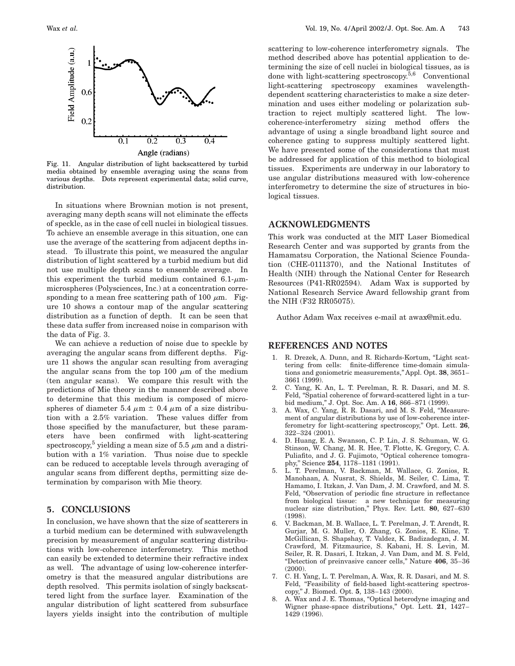

Fig. 11. Angular distribution of light backscattered by turbid media obtained by ensemble averaging using the scans from various depths. Dots represent experimental data; solid curve, distribution.

In situations where Brownian motion is not present, averaging many depth scans will not eliminate the effects of speckle, as in the case of cell nuclei in biological tissues. To achieve an ensemble average in this situation, one can use the average of the scattering from adjacent depths instead. To illustrate this point, we measured the angular distribution of light scattered by a turbid medium but did not use multiple depth scans to ensemble average. In this experiment the turbid medium contained  $6.1-\mu m$ microspheres (Polysciences, Inc.) at a concentration corresponding to a mean free scattering path of 100  $\mu$ m. Figure 10 shows a contour map of the angular scattering distribution as a function of depth. It can be seen that these data suffer from increased noise in comparison with the data of Fig. 3.

We can achieve a reduction of noise due to speckle by averaging the angular scans from different depths. Figure 11 shows the angular scan resulting from averaging the angular scans from the top 100  $\mu$ m of the medium (ten angular scans). We compare this result with the predictions of Mie theory in the manner described above to determine that this medium is composed of microspheres of diameter 5.4  $\mu$ m  $\pm$  0.4  $\mu$ m of a size distribution with a 2.5% variation. These values differ from those specified by the manufacturer, but these parameters have been confirmed with light-scattering spectroscopy,<sup>5</sup> yielding a mean size of 5.5  $\mu$ m and a distribution with a 1% variation. Thus noise due to speckle can be reduced to acceptable levels through averaging of angular scans from different depths, permitting size determination by comparison with Mie theory.

## **5. CONCLUSIONS**

In conclusion, we have shown that the size of scatterers in a turbid medium can be determined with subwavelength precision by measurement of angular scattering distributions with low-coherence interferometry. This method can easily be extended to determine their refractive index as well. The advantage of using low-coherence interferometry is that the measured angular distributions are depth resolved. This permits isolation of singly backscattered light from the surface layer. Examination of the angular distribution of light scattered from subsurface layers yields insight into the contribution of multiple

scattering to low-coherence interferometry signals. The method described above has potential application to determining the size of cell nuclei in biological tissues, as is done with light-scattering spectroscopy.5,6 Conventional light-scattering spectroscopy examines wavelengthdependent scattering characteristics to make a size determination and uses either modeling or polarization subtraction to reject multiply scattered light. The lowcoherence-interferometry sizing method offers the advantage of using a single broadband light source and coherence gating to suppress multiply scattered light. We have presented some of the considerations that must be addressed for application of this method to biological tissues. Experiments are underway in our laboratory to use angular distributions measured with low-coherence interferometry to determine the size of structures in biological tissues.

# **ACKNOWLEDGMENTS**

This work was conducted at the MIT Laser Biomedical Research Center and was supported by grants from the Hamamatsu Corporation, the National Science Foundation (CHE-0111370), and the National Institutes of Health (NIH) through the National Center for Research Resources (P41-RR02594). Adam Wax is supported by National Research Service Award fellowship grant from the NIH (F32 RR05075).

Author Adam Wax receives e-mail at awax@mit.edu.

# **REFERENCES AND NOTES**

- 1. R. Drezek, A. Dunn, and R. Richards-Kortum, "Light scattering from cells: finite-difference time-domain simulations and goniometric measurements,'' Appl. Opt. **38**, 3651– 3661 (1999).
- 2. C. Yang, K. An, L. T. Perelman, R. R. Dasari, and M. S. Feld, "Spatial coherence of forward-scattered light in a turbid medium,'' J. Opt. Soc. Am. A **16**, 866–871 (1999).
- 3. A. Wax, C. Yang, R. R. Dasari, and M. S. Feld, ''Measurement of angular distributions by use of low-coherence interferometry for light-scattering spectroscopy,'' Opt. Lett. **26**, 322–324 (2001).
- 4. D. Huang, E. A. Swanson, C. P. Lin, J. S. Schuman, W. G. Stinson, W. Chang, M. R. Hee, T. Flotte, K. Gregory, C. A. Puliafito, and J. G. Fujimoto, "Optical coherence tomography,'' Science **254**, 1178–1181 (1991).
- 5. L. T. Perelman, V. Backman, M. Wallace, G. Zonios, R. Manohaan, A. Nusrat, S. Shields, M. Seiler, C. Lima, T. Hamamo, I. Itzkan, J. Van Dam, J. M. Crawford, and M. S. Feld, "Observation of periodic fine structure in reflectance from biological tissue: a new technique for measuring nuclear size distribution,'' Phys. Rev. Lett. **80**, 627–630 (1998).
- 6. V. Backman, M. B. Wallace, L. T. Perelman, J. T. Arendt, R. Gurjar, M. G. Muller, O. Zhang, G. Zonios, E. Kline, T. McGillican, S. Shapshay, T. Valdez, K. Badizadegan, J. M. Crawford, M. Fitzmaurice, S. Kabani, H. S. Levin, M. Seiler, R. R. Dasari, I. Itzkan, J. Van Dam, and M. S. Feld, ''Detection of preinvasive cancer cells,'' Nature **406**, 35–36 (2000).
- 7. C. H. Yang, L. T. Perelman, A. Wax, R. R. Dasari, and M. S. Feld, "Feasibility of field-based light-scattering spectroscopy,'' J. Biomed. Opt. **5**, 138–143 (2000).
- A. Wax and J. E. Thomas, "Optical heterodyne imaging and Wigner phase-space distributions,'' Opt. Lett. **21**, 1427– 1429 (1996).